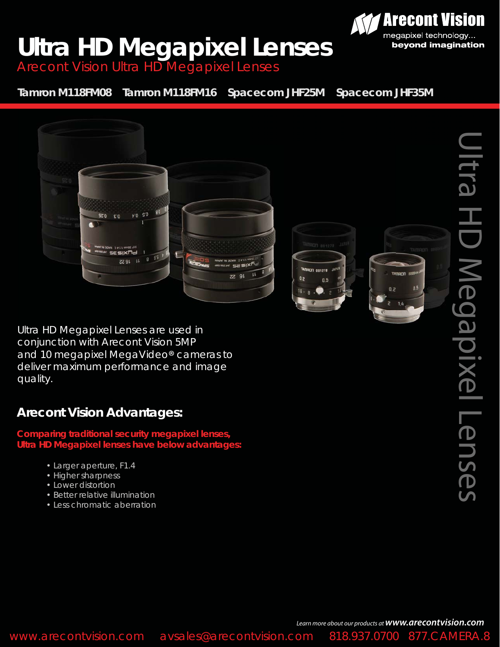## **Ultra HD Megapixel Lenses**

Arecont Vision Ultra HD Megapixel Lenses

**Tamron M118FM08 Tamron M118FM16 Spacecom JHF25M Spacecom JHF35M**



*Ultra HD Megapixel Lenses are used in conjunction with Arecont Vision 5MP*  and 10 megapixel MegaVideo<sup>®</sup> cameras to *deliver maximum performance and image*  ®*quality.*

## **Arecont Vision Advantages:**

**Comparing traditional security megapixel lenses, Ultra HD Megapixel lenses have below advantages:**

- Larger aperture, F1.4
- Higher sharpness
- Lower distortion
- Better relative illumination
- Less chromatic aberration

**Arecont Vision** 

megapixel technology... beyond imagination

*Learn more about our products at www.arecontvision.com*

www.arecontvision.com avsales@arecontvision.com 818.937.0700 877.CAMERA.8